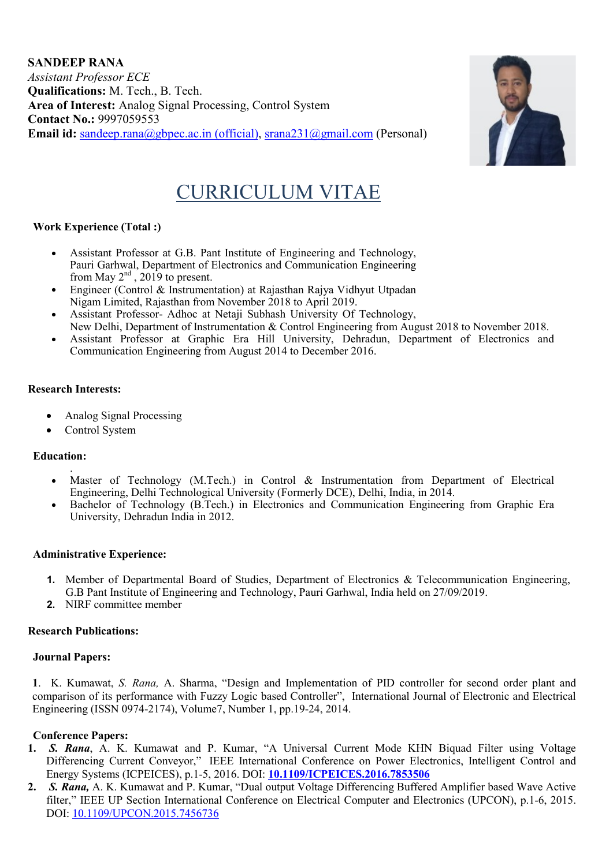SANDEEP RANA *Assistant Professor ECE* Qualifications: M. Tech., B. Tech. Area of Interest: Analog Signal Processing, Control System Contact No.: 9997059553 Email id: sandeep.rana@gbpec.ac.in (official), srana231@gmail.com (Personal)



# CURRICULUM VITAE

## Work Experience (Total :)

- Assistant Professor at G.B. Pant Institute of Engineering and Technology, Pauri Garhwal, Department of Electronics and Communication Engineering from May  $2<sup>nd</sup>$ , 2019 to present.
- Engineer (Control & Instrumentation) at Rajasthan Rajya Vidhyut Utpadan Nigam Limited, Rajasthan from November 2018 to April 2019.
- Assistant Professor- Adhoc at Netaji Subhash University Of Technology,
- New Delhi, Department of Instrumentation & Control Engineering from August 2018 to November 2018.
- Assistant Professor at Graphic Era Hill University, Dehradun, Department of Electronics and Communication Engineering from August 2014 to December 2016.

## Research Interests:

- Analog Signal Processing
- Control System

## Education:

- . Master of Technology (M.Tech.) in Control & Instrumentation from Department of Electrical Engineering, Delhi Technological University (Formerly DCE), Delhi, India, in 2014.
- Bachelor of Technology (B.Tech.) in Electronics and Communication Engineering from Graphic Era University, Dehradun India in 2012.

## Administrative Experience:

- 1. Member of Departmental Board of Studies, Department of Electronics & Telecommunication Engineering, G.B Pant Institute of Engineering and Technology, Pauri Garhwal, India held on 27/09/2019.
- 2. NIRF committee member

## Research Publications:

## Journal Papers:

1. K. Kumawat, *S. Rana,* A. Sharma, "Design and Implementation of PID controller for second order plant and comparison of its performance with Fuzzy Logic based Controller", International Journal of Electronic and Electrical Engineering (ISSN 0974-2174), Volume7, Number 1, pp.19-24, 2014.

## Conference Papers:

- 1. *S. Rana*, A. K. Kumawat and P. Kumar, "A Universal Current Mode KHN Biquad Filter using Voltage Differencing Current Conveyor," IEEE International Conference on Power Electronics, Intelligent Control and Energy Systems (ICPEICES), p.1-5, 2016. DOI: 10.1109/ICPEICES.2016.7853506
- 2. *S. Rana,* A. K. Kumawat and P. Kumar, "Dual output Voltage Differencing Buffered Amplifier based Wave Active filter," IEEE UP Section International Conference on Electrical Computer and Electronics (UPCON), p.1-6, 2015. DOI: 10.1109/UPCON.2015.7456736